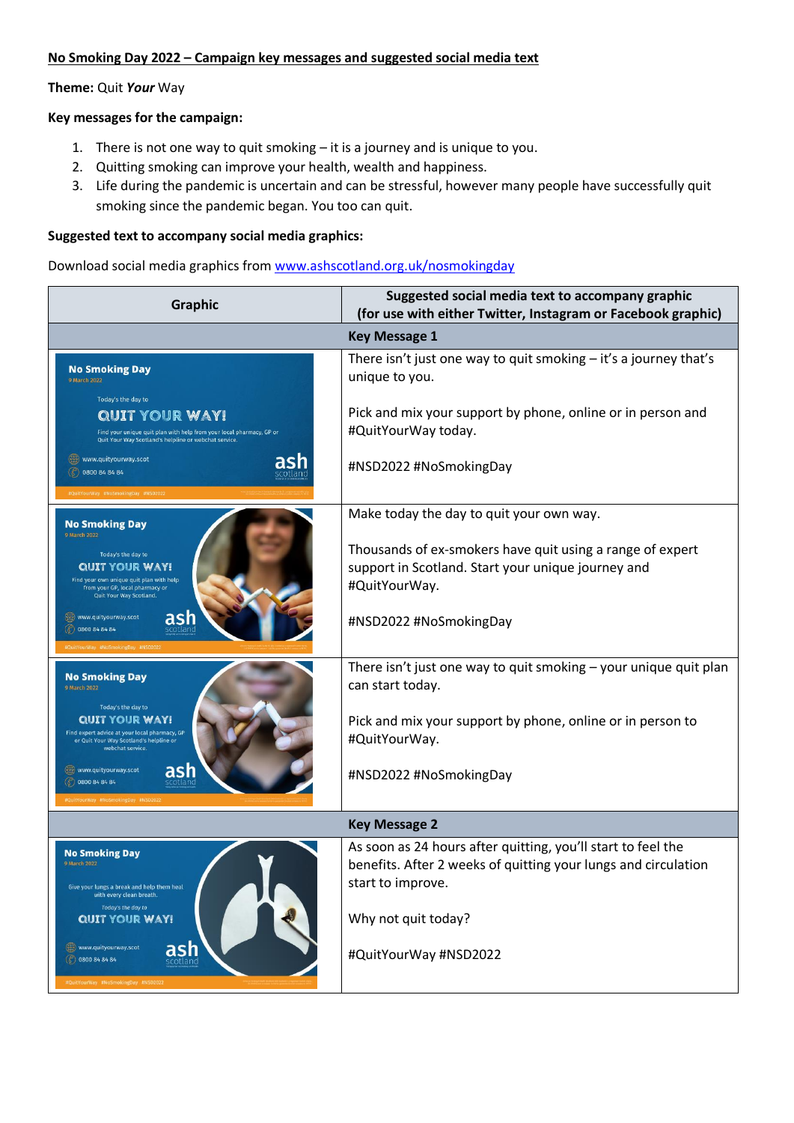## **No Smoking Day 2022 – Campaign key messages and suggested social media text**

### **Theme:** Quit *Your* Way

#### **Key messages for the campaign:**

- 1. There is not one way to quit smoking it is a journey and is unique to you.
- 2. Quitting smoking can improve your health, wealth and happiness.
- 3. Life during the pandemic is uncertain and can be stressful, however many people have successfully quit smoking since the pandemic began. You too can quit.

#### **Suggested text to accompany social media graphics:**

Download social media graphics from [www.ashscotland.org.uk/nosmokingday](http://www.ashscotland.org.uk/nosmokingday)

| <b>Graphic</b>                                                                                                                                                               | Suggested social media text to accompany graphic<br>(for use with either Twitter, Instagram or Facebook graphic)                                    |
|------------------------------------------------------------------------------------------------------------------------------------------------------------------------------|-----------------------------------------------------------------------------------------------------------------------------------------------------|
| <b>Key Message 1</b>                                                                                                                                                         |                                                                                                                                                     |
| <b>No Smoking Day</b><br>9 March 2022                                                                                                                                        | There isn't just one way to quit smoking $-$ it's a journey that's<br>unique to you.                                                                |
| Today's the day to<br><b>QUIT YOUR WAY!</b><br>Find your unique quit plan with help from your local pharmacy, GP or<br>Quit Your Way Scotland's helpline or webchat service. | Pick and mix your support by phone, online or in person and<br>#QuitYourWay today.                                                                  |
| www.quityourway.scot<br>asr<br>C 0800 84 84 84<br>#QuitYourWay #NoSmokingDay #NSD2022                                                                                        | #NSD2022 #NoSmokingDay                                                                                                                              |
| <b>No Smoking Day</b>                                                                                                                                                        | Make today the day to quit your own way.                                                                                                            |
| 9 March 2022<br>Today's the day to<br><b>QUIT YOUR WAY!</b><br>Find your own unique quit plan with help<br>from your GP, local pharmacy or<br>Quit Your Way Scotland.        | Thousands of ex-smokers have quit using a range of expert<br>support in Scotland. Start your unique journey and<br>#QuitYourWay.                    |
| ash<br>www.quityourway.scot<br>$($ $)$ 0800 84 84 84<br><b>WQuitYourWay #NoSmokingDay #NSD202</b>                                                                            | #NSD2022 #NoSmokingDay                                                                                                                              |
| <b>No Smoking Day</b><br>9 March 2022<br>Today's the day to                                                                                                                  | There isn't just one way to quit smoking - your unique quit plan<br>can start today.                                                                |
| <b>QUIT YOUR WAY!</b><br>Find expert advice at your local pharmacy, GP<br>or Quit Your Way Scotland's helpline or<br>webchat service.                                        | Pick and mix your support by phone, online or in person to<br>#QuitYourWay.                                                                         |
| ash<br>www.quityourway.scot<br>C 0800 84 84 84<br>#QuitYourWay #NoSmokingDay #NSD202                                                                                         | #NSD2022 #NoSmokingDay                                                                                                                              |
| <b>Key Message 2</b>                                                                                                                                                         |                                                                                                                                                     |
| <b>No Smoking Day</b><br>9 March 2022<br>Give your lungs a break and help them heal<br>with every clean breath.<br>Today's the day to                                        | As soon as 24 hours after quitting, you'll start to feel the<br>benefits. After 2 weeks of quitting your lungs and circulation<br>start to improve. |
| <b>QUIT YOUR WAY!</b>                                                                                                                                                        | Why not quit today?                                                                                                                                 |
| ash<br>www.quityourway.scot<br>( 0800 84 84 84<br>scotland<br>#QuitYourWay #NoSmokingDay #NSD2022                                                                            | #QuitYourWay #NSD2022                                                                                                                               |